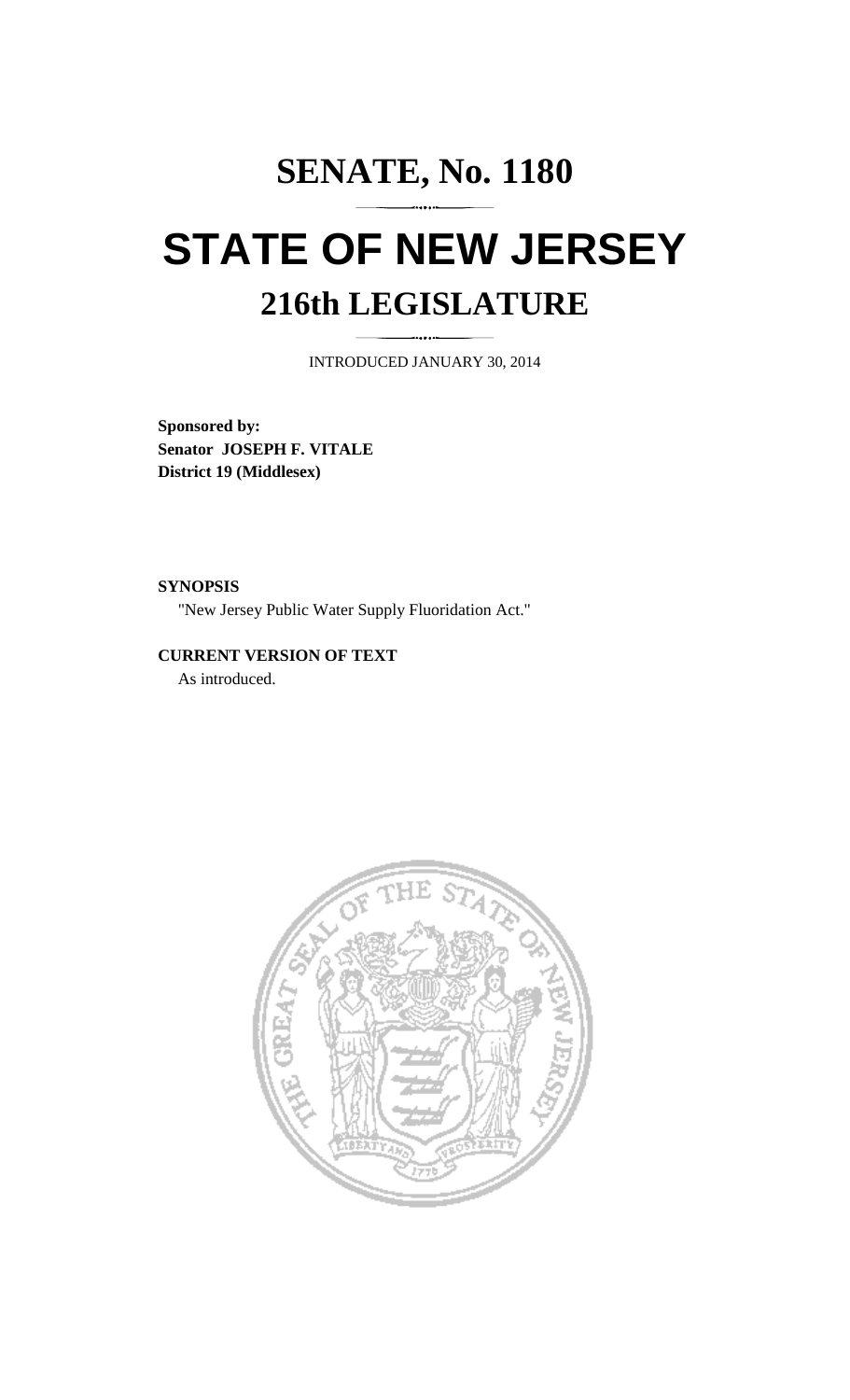## **SENATE, No. 1180 STATE OF NEW JERSEY 216th LEGISLATURE**

INTRODUCED JANUARY 30, 2014

**Sponsored by: Senator JOSEPH F. VITALE District 19 (Middlesex)** 

**SYNOPSIS**  "New Jersey Public Water Supply Fluoridation Act."

**CURRENT VERSION OF TEXT**  As introduced.

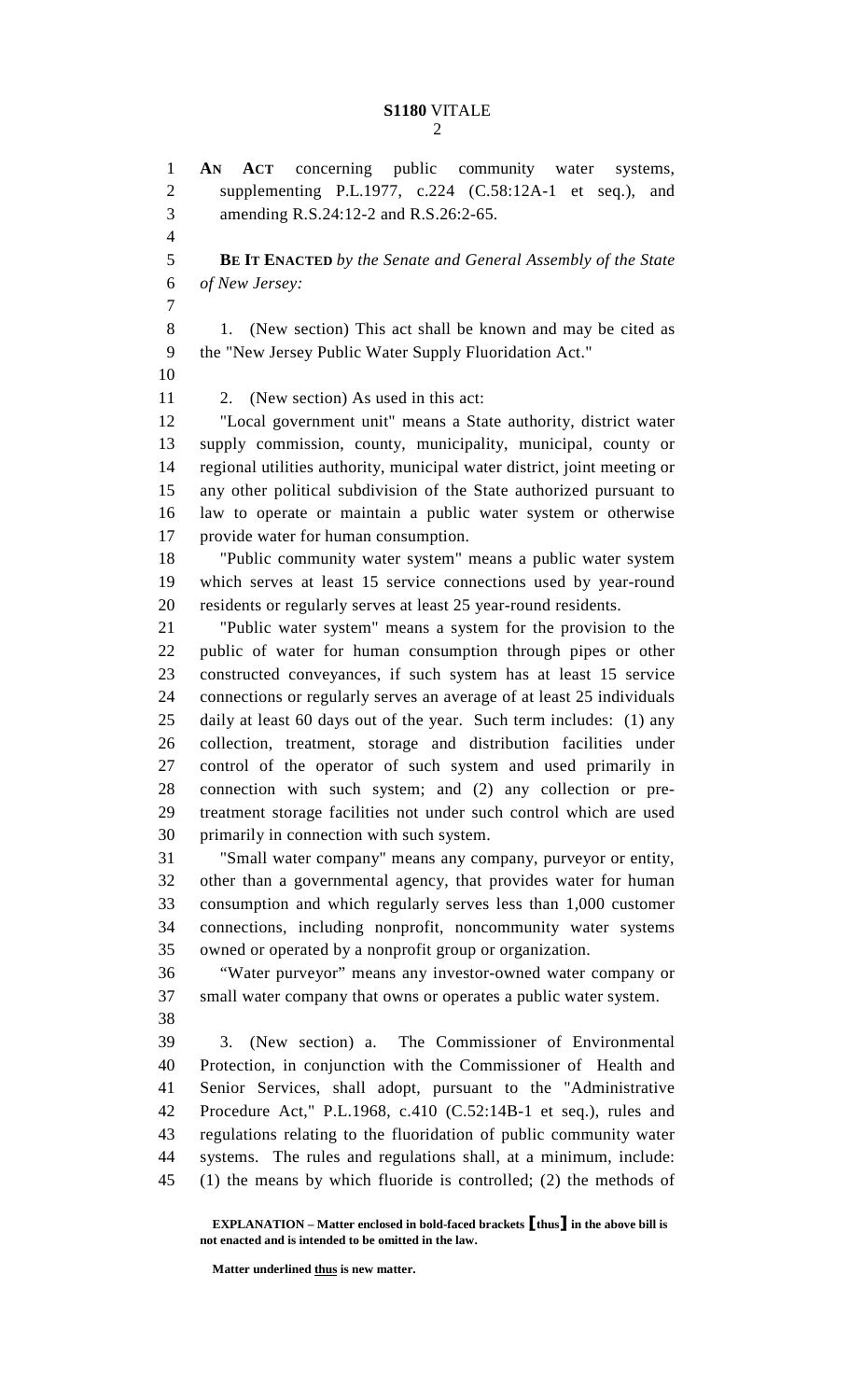1 **AN ACT** concerning public community water systems, 2 supplementing P.L.1977, c.224 (C.58:12A-1 et seq.), and 3 amending R.S.24:12-2 and R.S.26:2-65. 4 5 **BE IT ENACTED** *by the Senate and General Assembly of the State*  6 *of New Jersey:* 7 8 1. (New section) This act shall be known and may be cited as 9 the "New Jersey Public Water Supply Fluoridation Act." 10 11 2. (New section) As used in this act: 12 "Local government unit" means a State authority, district water 13 supply commission, county, municipality, municipal, county or 14 regional utilities authority, municipal water district, joint meeting or 15 any other political subdivision of the State authorized pursuant to 16 law to operate or maintain a public water system or otherwise 17 provide water for human consumption. 18 "Public community water system" means a public water system 19 which serves at least 15 service connections used by year-round 20 residents or regularly serves at least 25 year-round residents. 21 "Public water system" means a system for the provision to the 22 public of water for human consumption through pipes or other 23 constructed conveyances, if such system has at least 15 service 24 connections or regularly serves an average of at least 25 individuals 25 daily at least 60 days out of the year. Such term includes: (1) any 26 collection, treatment, storage and distribution facilities under 27 control of the operator of such system and used primarily in 28 connection with such system; and (2) any collection or pre-29 treatment storage facilities not under such control which are used 30 primarily in connection with such system. 31 "Small water company" means any company, purveyor or entity, 32 other than a governmental agency, that provides water for human 33 consumption and which regularly serves less than 1,000 customer 34 connections, including nonprofit, noncommunity water systems 35 owned or operated by a nonprofit group or organization. 36 "Water purveyor" means any investor-owned water company or 37 small water company that owns or operates a public water system. 38 39 3. (New section) a. The Commissioner of Environmental 40 Protection, in conjunction with the Commissioner of Health and 41 Senior Services, shall adopt, pursuant to the "Administrative 42 Procedure Act," P.L.1968, c.410 (C.52:14B-1 et seq.), rules and 43 regulations relating to the fluoridation of public community water 44 systems. The rules and regulations shall, at a minimum, include: 45 (1) the means by which fluoride is controlled; (2) the methods of

 **EXPLANATION – Matter enclosed in bold-faced brackets** [**thus**] **in the above bill is not enacted and is intended to be omitted in the law.** 

 **Matter underlined thus is new matter.**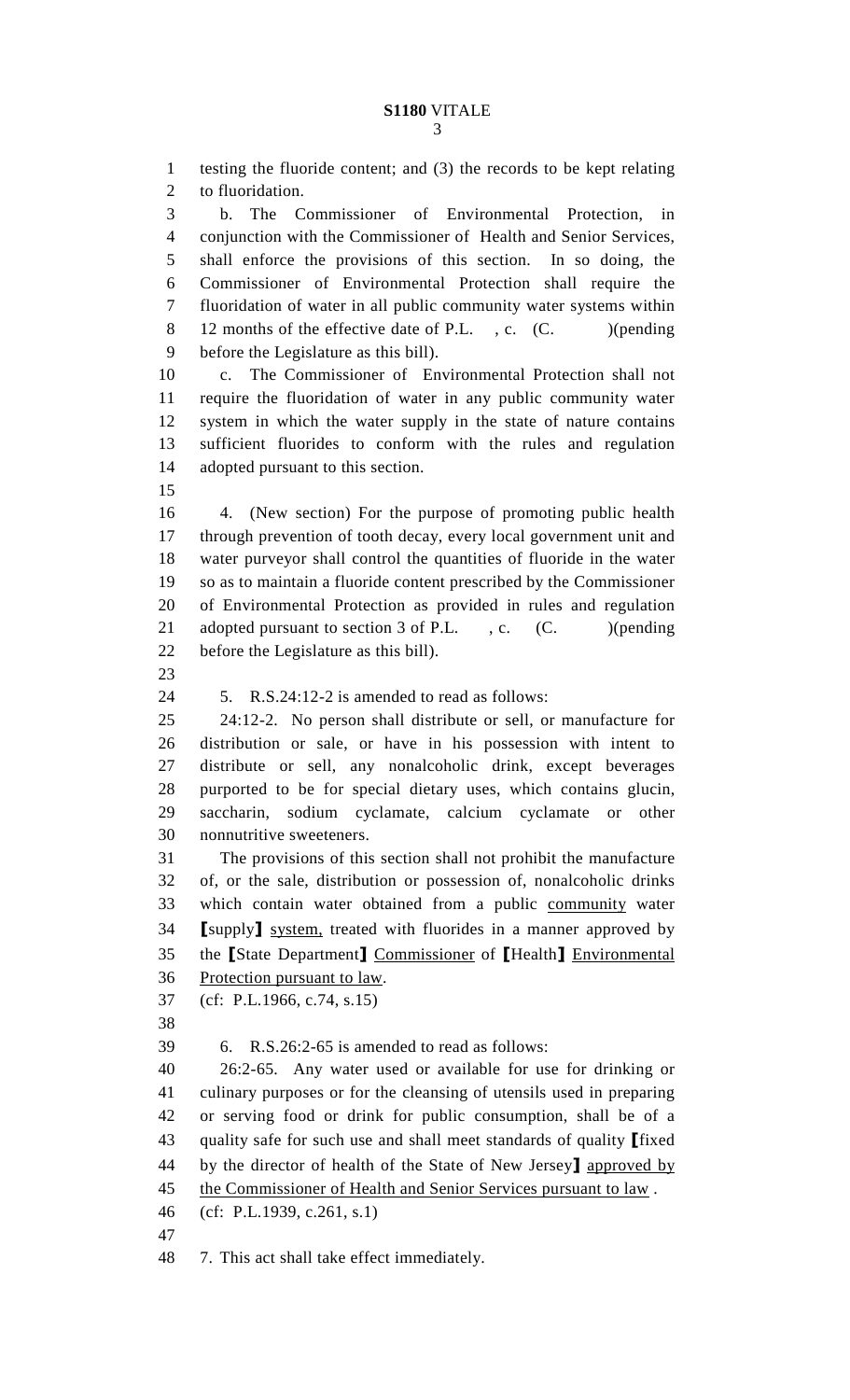3

1 testing the fluoride content; and (3) the records to be kept relating 2 to fluoridation. 3 b. The Commissioner of Environmental Protection, in 4 conjunction with the Commissioner of Health and Senior Services, 5 shall enforce the provisions of this section. In so doing, the 6 Commissioner of Environmental Protection shall require the 7 fluoridation of water in all public community water systems within 8 12 months of the effective date of P.L., c. (C. )(pending 9 before the Legislature as this bill). 10 c. The Commissioner of Environmental Protection shall not 11 require the fluoridation of water in any public community water 12 system in which the water supply in the state of nature contains 13 sufficient fluorides to conform with the rules and regulation 14 adopted pursuant to this section. 15 16 4. (New section) For the purpose of promoting public health 17 through prevention of tooth decay, every local government unit and 18 water purveyor shall control the quantities of fluoride in the water 19 so as to maintain a fluoride content prescribed by the Commissioner 20 of Environmental Protection as provided in rules and regulation 21 adopted pursuant to section 3 of P.L. , c. (C. )(pending 22 before the Legislature as this bill). 23 24 5. R.S.24:12-2 is amended to read as follows: 25 24:12-2. No person shall distribute or sell, or manufacture for 26 distribution or sale, or have in his possession with intent to 27 distribute or sell, any nonalcoholic drink, except beverages 28 purported to be for special dietary uses, which contains glucin, 29 saccharin, sodium cyclamate, calcium cyclamate or other 30 nonnutritive sweeteners. 31 The provisions of this section shall not prohibit the manufacture 32 of, or the sale, distribution or possession of, nonalcoholic drinks 33 which contain water obtained from a public community water 34 [supply] system, treated with fluorides in a manner approved by 35 the [State Department] Commissioner of [Health] Environmental 36 Protection pursuant to law. 37 (cf: P.L.1966, c.74, s.15) 38 39 6. R.S.26:2-65 is amended to read as follows: 40 26:2-65. Any water used or available for use for drinking or 41 culinary purposes or for the cleansing of utensils used in preparing 42 or serving food or drink for public consumption, shall be of a 43 quality safe for such use and shall meet standards of quality [fixed] 44 by the director of health of the State of New Jersey<sup>1</sup> approved by 45 the Commissioner of Health and Senior Services pursuant to law. 46 (cf: P.L.1939, c.261, s.1) 47

48 7. This act shall take effect immediately.